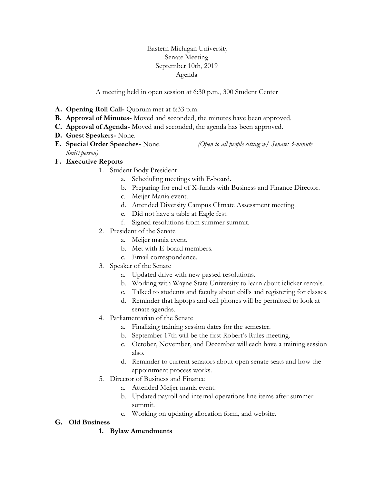### Eastern Michigan University Senate Meeting September 10th, 2019 Agenda

A meeting held in open session at 6:30 p.m., 300 Student Center

- **A. Opening Roll Call-** Quorum met at 6:33 p.m.
- **B. Approval of Minutes-** Moved and seconded, the minutes have been approved.
- **C. Approval of Agenda-** Moved and seconded, the agenda has been approved.
- **D. Guest Speakers-** None.
- **E. Special Order Speeches-** None. *(Open to all people sitting w/ Senate: 3-minute limit/person)*

# **F. Executive Reports**

- 1. Student Body President
	- a. Scheduling meetings with E-board.
	- b. Preparing for end of X-funds with Business and Finance Director.
	- c. Meijer Mania event.
	- d. Attended Diversity Campus Climate Assessment meeting.
	- e. Did not have a table at Eagle fest.
	- f. Signed resolutions from summer summit.
- 2. President of the Senate
	- a. Meijer mania event.
	- b. Met with E-board members.
	- c. Email correspondence.
- 3. Speaker of the Senate
	- a. Updated drive with new passed resolutions.
	- b. Working with Wayne State University to learn about iclicker rentals.
	- c. Talked to students and faculty about ebills and registering for classes.
	- d. Reminder that laptops and cell phones will be permitted to look at senate agendas.
- 4. Parliamentarian of the Senate
	- a. Finalizing training session dates for the semester.
	- b. September 17th will be the first Robert's Rules meeting.
	- c. October, November, and December will each have a training session also.
	- d. Reminder to current senators about open senate seats and how the appointment process works.
- 5. Director of Business and Finance
	- a. Attended Meijer mania event.
	- b. Updated payroll and internal operations line items after summer summit.
	- c. Working on updating allocation form, and website.

### **G. Old Business**

**1. Bylaw Amendments**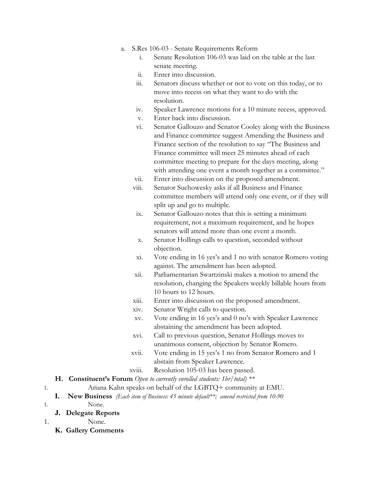- a. S.Res 106-03 Senate Requirements Reform
	- i. Senate Resolution 106-03 was laid on the table at the last senate meeting.
	- ii. Enter into discussion.
	- iii. Senators discuss whether or not to vote on this today, or to move into recess on what they want to do with the resolution.
	- iv. Speaker Lawrence motions for a 10 minute recess, approved.
	- v. Enter back into discussion.
	- vi. Senator Gallouzo and Senator Cooley along with the Business and Finance committee suggest Amending the Business and Finance section of the resolution to say "The Business and Finance committee will meet 25 minutes ahead of each committee meeting to prepare for the days meeting, along with attending one event a month together as a committee."
	- vii. Enter into discussion on the proposed amendment.
	- viii. Senator Suchowesky asks if all Business and Finance committee members will attend only one event, or if they will split up and go to multiple.
	- ix. Senator Gallouzo notes that this is setting a minimum requirement, not a maximum requirement, and he hopes senators will attend more than one event a month.
	- x. Senator Hollings calls to question, seconded without objection.
	- xi. Vote ending in 16 yes's and 1 no with senator Romero voting against. The amendment has been adopted.
	- xii. Parliamentarian Swartzinski makes a motion to amend the resolution, changing the Speakers weekly billable hours from 10 hours to 12 hours.
	- xiii. Enter into discussion on the proposed amendment.
	- xiv. Senator Wright calls to question.
	- xv. Vote ending in 16 yes's and 0 no's with Speaker Lawrence abstaining the amendment has been adopted.
	- xvi. Call to previous question, Senator Hollings moves to unanimous consent, objection by Senator Romero.
	- xvii. Vote ending in 15 yes's 1 no from Senator Romero and 1 abstain from Speaker Lawrence.
	- xviii. Resolution 105-03 has been passed.

#### **H. Constituent's Forum** *Open to currently enrolled students: 1hr/total) \*\**

- 1. Ariana Kahn speaks on behalf of the LGBTQ+ community at EMU.
	- **I. New Business** *(Each item of Business: 45 minute default\*\*; amend restricted from 10-90*

1. None.

### **J. Delegate Reports**

- 1. None.
	- **K. Gallery Comments**